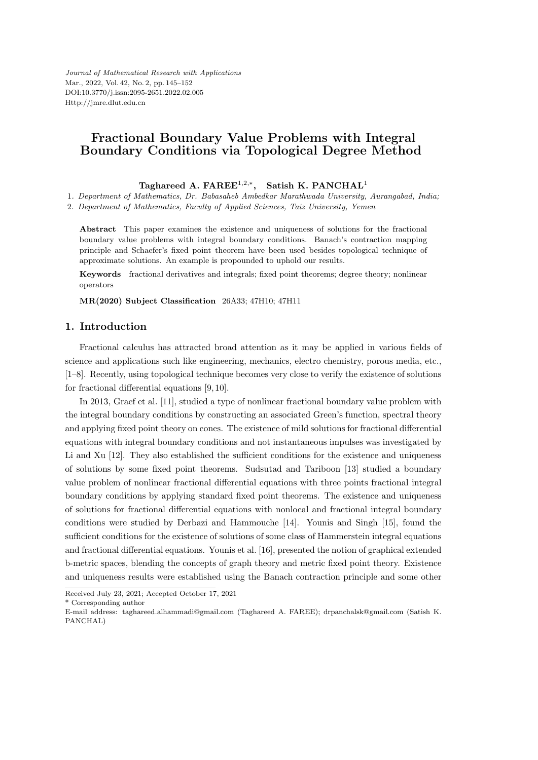# **Fractional Boundary Value Problems with Integral Boundary Conditions via Topological Degree Method**

**Taghareed A. FAREE**<sup>1</sup>*,*2*,<sup>∗</sup>* **, Satish K. PANCHAL**<sup>1</sup>

1*. Department of Mathematics, Dr. Babasaheb Ambedkar Marathwada University, Aurangabad, India;*

2*. Department of Mathematics, Faculty of Applied Sciences, Taiz University, Yemen*

**Abstract** This paper examines the existence and uniqueness of solutions for the fractional boundary value problems with integral boundary conditions. Banach's contraction mapping principle and Schaefer's fixed point theorem have been used besides topological technique of approximate solutions. An example is propounded to uphold our results.

**Keywords** fractional derivatives and integrals; fixed point theorems; degree theory; nonlinear operators

**MR(2020) Subject Classification** 26A33; 47H10; 47H11

### **1. Introduction**

Fractional calculus has attracted broad attention as it may be applied in various fields of science and applications such like engineering, mechanics, electro chemistry, porous media, etc., [1–8]. Recently, using topological technique becomes very close to verify the existence of solutions for fractional differential equations [9, 10].

In 2013, Graef et al. [11], studied a type of nonlinear fractional boundary value problem with the integral boundary conditions by constructing an associated Green's function, spectral theory and applying fixed point theory on cones. The existence of mild solutions for fractional differential equations with integral boundary conditions and not instantaneous impulses was investigated by Li and Xu [12]. They also established the sufficient conditions for the existence and uniqueness of solutions by some fixed point theorems. Sudsutad and Tariboon [13] studied a boundary value problem of nonlinear fractional differential equations with three points fractional integral boundary conditions by applying standard fixed point theorems. The existence and uniqueness of solutions for fractional differential equations with nonlocal and fractional integral boundary conditions were studied by Derbazi and Hammouche [14]. Younis and Singh [15], found the sufficient conditions for the existence of solutions of some class of Hammerstein integral equations and fractional differential equations. Younis et al. [16], presented the notion of graphical extended b-metric spaces, blending the concepts of graph theory and metric fixed point theory. Existence and uniqueness results were established using the Banach contraction principle and some other

\* Corresponding author

Received July 23, 2021; Accepted October 17, 2021

E-mail address: taghareed.alhammadi@gmail.com (Taghareed A. FAREE); drpanchalsk@gmail.com (Satish K. PANCHAL)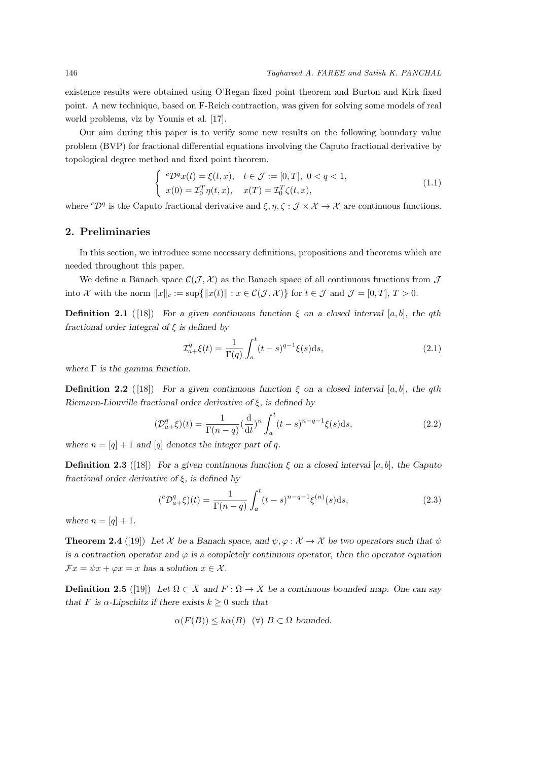existence results were obtained using O'Regan fixed point theorem and Burton and Kirk fixed point. A new technique, based on F-Reich contraction, was given for solving some models of real world problems, viz by Younis et al. [17].

Our aim during this paper is to verify some new results on the following boundary value problem (BVP) for fractional differential equations involving the Caputo fractional derivative by topological degree method and fixed point theorem.

$$
\begin{cases}\n\,^c\mathcal{D}^q x(t) = \xi(t, x), & t \in \mathcal{J} := [0, T], \ 0 < q < 1, \\
x(0) = \mathcal{I}_0^T \eta(t, x), & x(T) = \mathcal{I}_0^T \zeta(t, x),\n\end{cases}\n\tag{1.1}
$$

where  ${}^{c}\mathcal{D}^{q}$  is the Caputo fractional derivative and  $\xi, \eta, \zeta : \mathcal{J} \times \mathcal{X} \to \mathcal{X}$  are continuous functions.

## **2. Preliminaries**

In this section, we introduce some necessary definitions, propositions and theorems which are needed throughout this paper.

We define a Banach space  $\mathcal{C}(\mathcal{J}, \mathcal{X})$  as the Banach space of all continuous functions from  $\mathcal{J}$ into X with the norm  $||x||_c := \sup\{||x(t)|| : x \in C(\mathcal{J}, \mathcal{X})\}$  for  $t \in \mathcal{J}$  and  $\mathcal{J} = [0, T], T > 0$ .

**Definition 2.1** ([18]) *For a given continuous function*  $\xi$  *on a closed interval* [*a, b*]*, the qth fractional order integral of ξ is defined by*

$$
\mathcal{I}_{a+}^q \xi(t) = \frac{1}{\Gamma(q)} \int_a^t (t-s)^{q-1} \xi(s) \, \mathrm{d}s,\tag{2.1}
$$

*where* Γ *is the gamma function.*

**Definition 2.2** ([18]) *For a given continuous function*  $\xi$  *on a closed interval* [*a, b*]*, the qth Riemann-Liouville fractional order derivative of ξ, is defined by*

$$
(\mathcal{D}_{a+}^q \xi)(t) = \frac{1}{\Gamma(n-q)} \left(\frac{d}{dt}\right)^n \int_a^t (t-s)^{n-q-1} \xi(s) ds,
$$
\n(2.2)

where  $n = [q] + 1$  *and* [*q*] *denotes the integer part of <i>q.* 

**Definition 2.3** ([18]) *For a given continuous function*  $\xi$  *on a closed interval* [*a, b*]*, the Caputo fractional order derivative of ξ, is defined by*

$$
({}^c\mathcal{D}_{a+}^q \xi)(t) = \frac{1}{\Gamma(n-q)} \int_a^t (t-s)^{n-q-1} \xi^{(n)}(s) \mathrm{d}s,\tag{2.3}
$$

*where*  $n = [q] + 1$ *.* 

**Theorem 2.4** ([19]) Let *X* be a Banach space, and  $\psi, \varphi : \mathcal{X} \to \mathcal{X}$  be two operators such that  $\psi$ *is a contraction operator and*  $\varphi$  *is a completely continuous operator, then the operator equation*  $\mathcal{F}x = \psi x + \varphi x = x$  *has a solution*  $x \in \mathcal{X}$ *.* 

**Definition 2.5** ([19]) Let  $\Omega \subset X$  and  $F : \Omega \to X$  be a continuous bounded map. One can say *that F* is  $\alpha$ -Lipschitz if there exists  $k \geq 0$  such that

$$
\alpha(F(B)) \leq k\alpha(B) \quad (\forall) B \subset \Omega
$$
 bounded.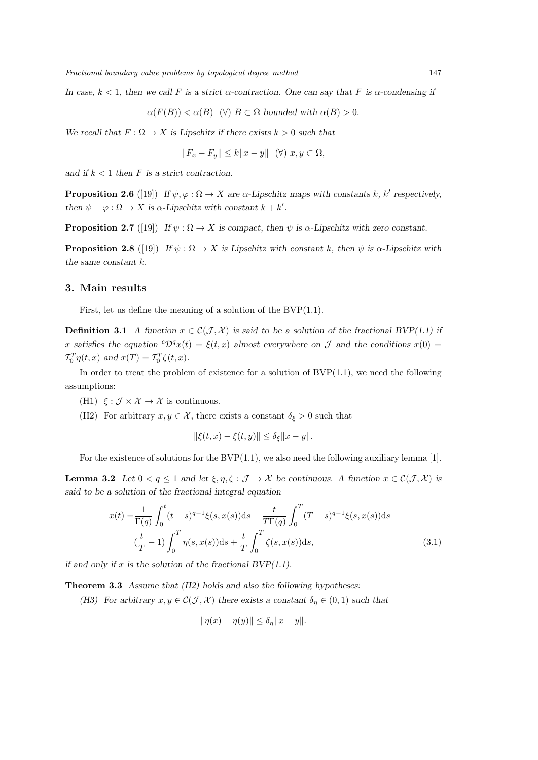*In case,*  $k < 1$ *, then we call*  $F$  *is a strict*  $\alpha$ *-contraction. One can say that*  $F$  *is*  $\alpha$ *-condensing if* 

$$
\alpha(F(B)) < \alpha(B) \quad (\forall) \ B \subset \Omega \ bounded \ with \ \alpha(B) > 0.
$$

*We recall that*  $F: \Omega \to X$  *is Lipschitz if there exists*  $k > 0$  *such that* 

$$
||F_x - F_y|| \le k||x - y|| \quad (\forall) \ x, y \subset \Omega,
$$

and if  $k < 1$  then  $F$  is a strict contraction.

**Proposition 2.6** ([19]) *If*  $\psi, \varphi : \Omega \to X$  *are*  $\alpha$ -*Lipschitz maps with constants k*, *k'* respectively, *then*  $\psi + \varphi : \Omega \to X$  *is*  $\alpha$ -*Lipschitz with constant*  $k + k'$ *.* 

**Proposition 2.7** ([19]) *If*  $\psi : \Omega \to X$  *is compact, then*  $\psi$  *is*  $\alpha$ *-Lipschitz with zero constant.* 

**Proposition 2.8** ([19]) *If*  $\psi : \Omega \to X$  *is Lipschitz with constant k, then*  $\psi$  *is*  $\alpha$ *-Lipschitz with the same constant k.*

#### **3. Main results**

First, let us define the meaning of a solution of the  $BVP(1.1)$ .

**Definition 3.1** *A function*  $x \in \mathcal{C}(\mathcal{J}, \mathcal{X})$  *is said to be a solution of the fractional BVP(1.1) if x* satisfies the equation  ${}^c\mathcal{D}^q x(t) = \xi(t, x)$  almost everywhere on *J* and the conditions  $x(0) =$  $\mathcal{I}_0^T \eta(t, x)$  *and*  $x(T) = \mathcal{I}_0^T \zeta(t, x)$ *.* 

In order to treat the problem of existence for a solution of  $BVP(1.1)$ , we need the following assumptions:

- (H1)  $\xi : \mathcal{J} \times \mathcal{X} \to \mathcal{X}$  is continuous.
- (H2) For arbitrary  $x, y \in \mathcal{X}$ , there exists a constant  $\delta_{\xi} > 0$  such that

$$
\|\xi(t, x) - \xi(t, y)\| \le \delta_{\xi} \|x - y\|.
$$

For the existence of solutions for the  $BVP(1.1)$ , we also need the following auxiliary lemma [1].

**Lemma 3.2** Let  $0 < q \leq 1$  and let  $\xi, \eta, \zeta : \mathcal{J} \to \mathcal{X}$  be continuous. A function  $x \in \mathcal{C}(\mathcal{J}, \mathcal{X})$  is *said to be a solution of the fractional integral equation*

$$
x(t) = \frac{1}{\Gamma(q)} \int_0^t (t-s)^{q-1} \xi(s, x(s)) ds - \frac{t}{T\Gamma(q)} \int_0^T (T-s)^{q-1} \xi(s, x(s)) ds -
$$
  

$$
(\frac{t}{T} - 1) \int_0^T \eta(s, x(s)) ds + \frac{t}{T} \int_0^T \zeta(s, x(s)) ds,
$$
 (3.1)

*if and only if x is the solution of the fractional BVP(1.1).*

**Theorem 3.3** *Assume that (H2) holds and also the following hypotheses:*

*(H3)* For arbitrary  $x, y \in C(J, \mathcal{X})$  there exists a constant  $\delta_{\eta} \in (0, 1)$  such that

$$
\|\eta(x) - \eta(y)\| \le \delta_{\eta} \|x - y\|.
$$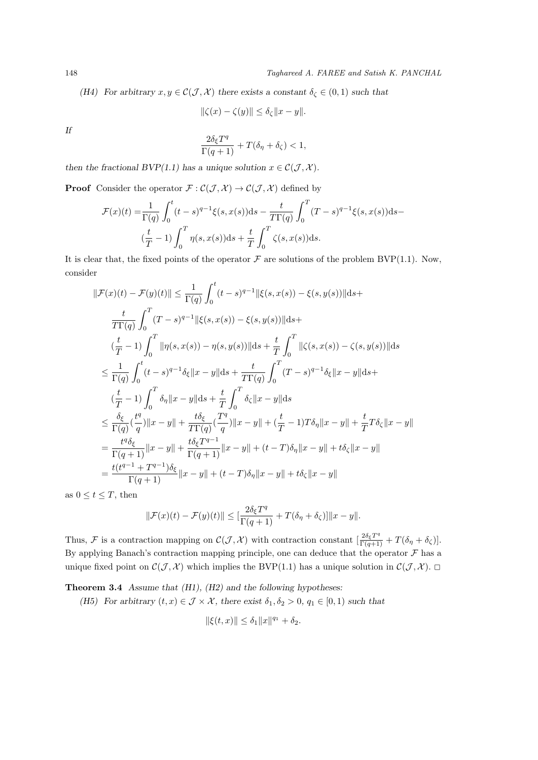*(H4)* For arbitrary  $x, y \in C(J, \mathcal{X})$  there exists a constant  $\delta_{\zeta} \in (0, 1)$  such that

$$
\|\zeta(x) - \zeta(y)\| \le \delta_{\zeta} \|x - y\|.
$$

*If*

$$
\frac{2\delta_{\xi}T^{q}}{\Gamma(q+1)} + T(\delta_{\eta} + \delta_{\zeta}) < 1,
$$

*then the fractional BVP(1.1) has a unique solution*  $x \in C(J, \mathcal{X})$ .

**Proof** Consider the operator  $\mathcal{F}: \mathcal{C}(\mathcal{J}, \mathcal{X}) \to \mathcal{C}(\mathcal{J}, \mathcal{X})$  defined by

$$
\mathcal{F}(x)(t) = \frac{1}{\Gamma(q)} \int_0^t (t-s)^{q-1} \xi(s, x(s)) ds - \frac{t}{T\Gamma(q)} \int_0^T (T-s)^{q-1} \xi(s, x(s)) ds -
$$
  

$$
(\frac{t}{T} - 1) \int_0^T \eta(s, x(s)) ds + \frac{t}{T} \int_0^T \zeta(s, x(s)) ds.
$$

It is clear that, the fixed points of the operator  $\mathcal F$  are solutions of the problem BVP(1.1). Now, consider

$$
\|\mathcal{F}(x)(t) - \mathcal{F}(y)(t)\| \leq \frac{1}{\Gamma(q)} \int_0^t (t-s)^{q-1} \|\xi(s, x(s)) - \xi(s, y(s))\| ds +
$$
  
\n
$$
\frac{t}{T\Gamma(q)} \int_0^T (T-s)^{q-1} \|\xi(s, x(s)) - \xi(s, y(s))\| ds +
$$
  
\n
$$
(\frac{t}{T} - 1) \int_0^T \|\eta(s, x(s)) - \eta(s, y(s))\| ds + \frac{t}{T} \int_0^T \|\zeta(s, x(s)) - \zeta(s, y(s))\| ds
$$
  
\n
$$
\leq \frac{1}{\Gamma(q)} \int_0^t (t-s)^{q-1} \delta_{\xi} \|x - y\| ds + \frac{t}{T\Gamma(q)} \int_0^T (T-s)^{q-1} \delta_{\xi} \|x - y\| ds +
$$
  
\n
$$
(\frac{t}{T} - 1) \int_0^T \delta_{\eta} \|x - y\| ds + \frac{t}{T} \int_0^T \delta_{\zeta} \|x - y\| ds
$$
  
\n
$$
\leq \frac{\delta_{\xi}}{\Gamma(q)} (\frac{t^q}{q}) \|x - y\| + \frac{t\delta_{\xi}}{T\Gamma(q)} (\frac{T^q}{q}) \|x - y\| + (\frac{t}{T} - 1)T\delta_{\eta} \|x - y\| + \frac{t}{T}T\delta_{\zeta} \|x - y\|
$$
  
\n
$$
= \frac{t^q \delta_{\xi}}{\Gamma(q+1)} \|x - y\| + \frac{t\delta_{\xi} T^{q-1}}{\Gamma(q+1)} \|x - y\| + (t - T)\delta_{\eta} \|x - y\| + t\delta_{\zeta} \|x - y\|
$$
  
\n
$$
= \frac{t(t^{q-1} + T^{q-1})\delta_{\xi}}{\Gamma(q+1)} \|x - y\| + (t - T)\delta_{\eta} \|x - y\| + t\delta_{\zeta} \|x - y\|
$$

as  $0 \le t \le T$ , then

$$
\|\mathcal{F}(x)(t) - \mathcal{F}(y)(t)\| \leq \left[\frac{2\delta_{\xi}T^{q}}{\Gamma(q+1)} + T(\delta_{\eta} + \delta_{\zeta})\right] \|x - y\|.
$$

Thus, *F* is a contraction mapping on  $\mathcal{C}(\mathcal{J}, \mathcal{X})$  with contraction constant  $\left[\frac{2\delta_{\xi}T^{q}}{\Gamma(q+1)} + T(\delta_{\eta} + \delta_{\zeta})\right]$ . By applying Banach's contraction mapping principle, one can deduce that the operator  $\mathcal F$  has a unique fixed point on  $\mathcal{C}(\mathcal{J}, \mathcal{X})$  which implies the BVP(1.1) has a unique solution in  $\mathcal{C}(\mathcal{J}, \mathcal{X})$ .

**Theorem 3.4** *Assume that (H1), (H2) and the following hypotheses:*

*(H5)* For arbitrary  $(t, x) \in \mathcal{J} \times \mathcal{X}$ , there exist  $\delta_1, \delta_2 > 0$ ,  $q_1 \in [0, 1)$  such that

$$
\|\xi(t,x)\| \le \delta_1 \|x\|^{q_1} + \delta_2.
$$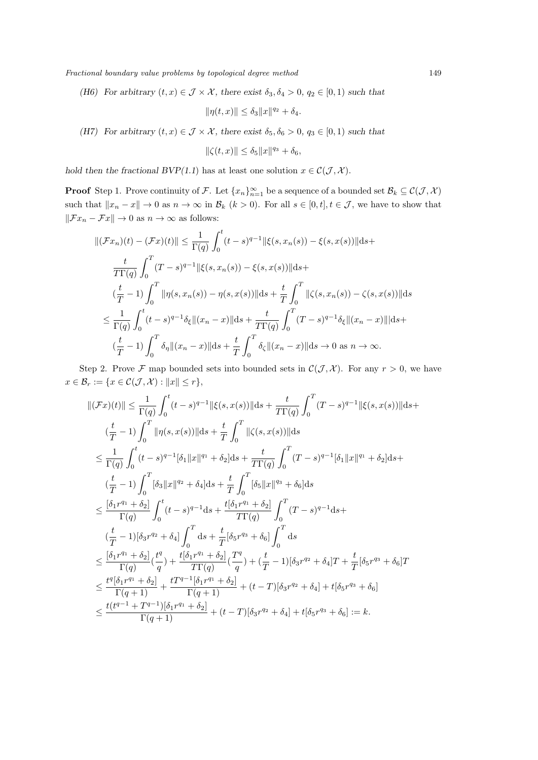*Fractional boundary value problems by topological degree method* 149

*(H6)* For arbitrary  $(t, x) \in \mathcal{J} \times \mathcal{X}$ , there exist  $\delta_3, \delta_4 > 0$ ,  $q_2 \in [0, 1)$  such that

$$
\|\eta(t,x)\| \le \delta_3 \|x\|^{q_2} + \delta_4.
$$

*(H7)* For arbitrary  $(t, x) \in \mathcal{J} \times \mathcal{X}$ , there exist  $\delta_5, \delta_6 > 0$ ,  $q_3 \in [0, 1)$  such that

$$
\|\zeta(t,x)\| \le \delta_5 \|x\|^{q_3} + \delta_6,
$$

*hold then the fractional BVP(1.1) has at least one solution*  $x \in C(\mathcal{J}, \mathcal{X})$ *.* 

**Proof** Step 1. Prove continuity of *F*. Let  $\{x_n\}_{n=1}^{\infty}$  be a sequence of a bounded set  $\mathcal{B}_k \subseteq C(\mathcal{J}, \mathcal{X})$ such that  $||x_n - x|| \to 0$  as  $n \to \infty$  in  $\mathcal{B}_k$  ( $k > 0$ ). For all  $s \in [0, t], t \in \mathcal{J}$ , we have to show that  $\|\mathcal{F}x_n - \mathcal{F}x\|$  *→ 0 as*  $n \to \infty$  *as follows:* 

$$
\|(\mathcal{F}x_n)(t) - (\mathcal{F}x)(t)\| \le \frac{1}{\Gamma(q)} \int_0^t (t-s)^{q-1} \|\xi(s, x_n(s)) - \xi(s, x(s))\| ds +
$$
  

$$
\frac{t}{T\Gamma(q)} \int_0^T (T-s)^{q-1} \|\xi(s, x_n(s)) - \xi(s, x(s))\| ds +
$$
  

$$
(\frac{t}{T} - 1) \int_0^T \|\eta(s, x_n(s)) - \eta(s, x(s))\| ds + \frac{t}{T} \int_0^T \|\zeta(s, x_n(s)) - \zeta(s, x(s))\| ds
$$
  

$$
\le \frac{1}{\Gamma(q)} \int_0^t (t-s)^{q-1} \delta_\xi \|(x_n - x)\| ds + \frac{t}{T\Gamma(q)} \int_0^T (T-s)^{q-1} \delta_\xi \|(x_n - x)\| ds +
$$
  

$$
(\frac{t}{T} - 1) \int_0^T \delta_\eta \|(x_n - x)\| ds + \frac{t}{T} \int_0^T \delta_\zeta \|(x_n - x)\| ds \to 0 \text{ as } n \to \infty.
$$

Step 2. Prove *F* map bounded sets into bounded sets in  $\mathcal{C}(\mathcal{J}, \mathcal{X})$ . For any  $r > 0$ , we have  $x \in \mathcal{B}_r := \{x \in \mathcal{C}(\mathcal{J}, \mathcal{X}) : ||x|| \leq r\},\$ 

$$
\begin{split} &\|(\mathcal{F}x)(t)\| \leq \frac{1}{\Gamma(q)}\int_{0}^{t}(t-s)^{q-1}\|\xi(s,x(s))\| \mathrm{d}s + \frac{t}{T\Gamma(q)}\int_{0}^{T}(T-s)^{q-1}\|\xi(s,x(s))\| \mathrm{d}s \\ & \quad \left(\frac{t}{T}-1\right)\int_{0}^{T}\| \eta(s,x(s))\| \mathrm{d}s + \frac{t}{T}\int_{0}^{T}\|\zeta(s,x(s))\| \mathrm{d}s \\ & \quad \leq \frac{1}{\Gamma(q)}\int_{0}^{t}(t-s)^{q-1}[\delta_{1}\|x\|^{q_{1}} + \delta_{2}]\mathrm{d}s + \frac{t}{T\Gamma(q)}\int_{0}^{T}(T-s)^{q-1}[\delta_{1}\|x\|^{q_{1}} + \delta_{2}]\mathrm{d}s + \\ & \quad \left(\frac{t}{T}-1\right)\int_{0}^{T}[\delta_{3}\|x\|^{q_{2}} + \delta_{4}]\mathrm{d}s + \frac{t}{T}\int_{0}^{T}[\delta_{5}\|x\|^{q_{3}} + \delta_{6}]\mathrm{d}s \\ & \quad \leq \frac{[\delta_{1}r^{q_{1}} + \delta_{2}]}{\Gamma(q)}\int_{0}^{t}(t-s)^{q-1}\mathrm{d}s + \frac{t[\delta_{1}r^{q_{1}} + \delta_{2}]}{T\Gamma(q)}\int_{0}^{T}(T-s)^{q-1}\mathrm{d}s + \\ & \quad \left(\frac{t}{T}-1)[\delta_{3}r^{q_{2}} + \delta_{4}]\int_{0}^{T}\mathrm{d}s + \frac{t}{T}[\delta_{5}r^{q_{3}} + \delta_{6}]\int_{0}^{T}\mathrm{d}s \\ & \quad \leq \frac{[\delta_{1}r^{q_{1}} + \delta_{2}]}{\Gamma(q)}(\frac{t^{q}}{q}) + \frac{t[\delta_{1}r^{q_{1}} + \delta_{2}]}{T\Gamma(q)}(\frac{T^{q}}{q}) + (\frac{t}{T}-1)[\delta_{3}r^{q_{2}} + \delta_{4}]T + \frac{t}{T}[\delta_{5}r^{q_{3}} + \delta_{6}]T \\ & \quad \leq \frac{t^{q}[\delta_{1}r^{q_{1}} + \delta_{2}]}{\Gamma(q+1)} + \frac{tT^{q-1}[\delta_{1}r^{q_{1}} + \delta_{2}]}{T(q+1)} + (t-T
$$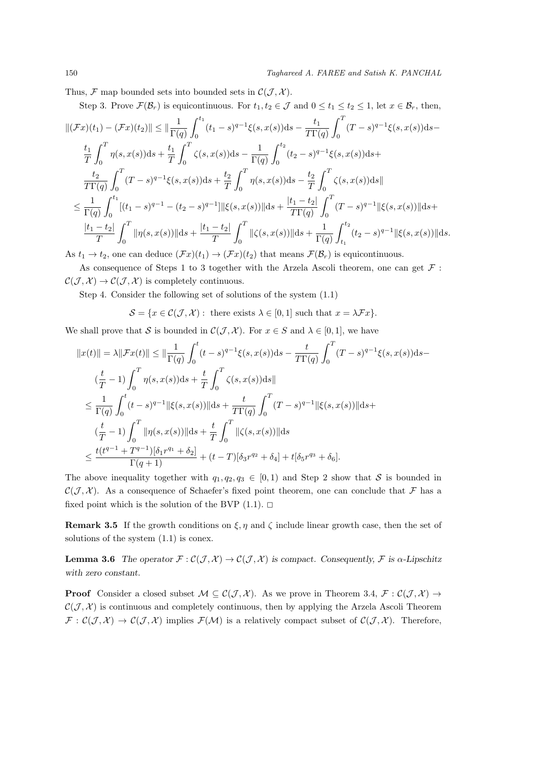Thus,  $\mathcal{F}$  map bounded sets into bounded sets in  $\mathcal{C}(\mathcal{J}, \mathcal{X})$ .

Step 3. Prove  $\mathcal{F}(\mathcal{B}_r)$  is equicontinuous. For  $t_1, t_2 \in \mathcal{J}$  and  $0 \le t_1 \le t_2 \le 1$ , let  $x \in \mathcal{B}_r$ , then, *∣*(*Fx*)(*t*<sub>1</sub>) *−* (*Fx*)(*t*<sub>2</sub>)*∥* ≤ *∣* $\frac{1}{\Gamma(q)}$  $\int_0^{t_1}$  $\int_0^{t_1} (t_1-s)^{q-1} \xi(s,x(s)) \mathrm{d} s - \frac{t_1}{T \Gamma(s)}$ *T*Γ(*q*)  $\int_0^T$  $\mathbf 0$  $(T - s)^{q-1} \xi(s, x(s)) ds$ *t*1 *T*  $\int_0^T$ 0  $\eta(s,x(s))\mathrm{d}s + \frac{t_1}{\sigma}$ *T*  $\int_0^T$ 0  $\zeta(s,x(s))\mathrm{d}s-\frac{1}{\Gamma(s)}$  $\Gamma(q)$  $∫<sup>t<sub>2</sub></sup>$  $\int_{0}^{1} (t_2 - s)^{q-1} \xi(s, x(s)) \mathrm{d}s +$ *t*2 *T*Γ(*q*)  $\int_0^T$ 0  $(T - s)^{q-1}\xi(s, x(s))ds + \frac{t_2}{T}$ *T*  $\int_0^T$ 0  $\eta(s,x(s))\mathrm{d}s - \frac{t_2}{\pi}$ *T*  $\int_0^T$  $\mathbf 0$ *ζ*(*s, x*(*s*))d*s∥*  $\leq \frac{1}{n}$  $\Gamma(q)$  $\int_0^{t_1}$  $\int_0^{t_1} [(t_1 - s)^{q-1} - (t_2 - s)^{q-1}] \Vert \xi(s, x(s)) \Vert \mathrm{d} s + \frac{|t_1 - t_2|}{T \Gamma(q)}$ *T*Γ(*q*)  $\int_0^T$ 0  $(T - s)^{q-1}$ || $\xi(s, x(s))$ ||ds+ *|t*<sup>1</sup> *− t*2*| T*  $\int_0^T$ 0  $||\eta(s, x(s))||ds + \frac{|t_1 - t_2|}{T}$ *T*  $\int_0^T$ 0 *∥* $\zeta$ (*s*, *x*(*s*))*∥d<i>s* +  $\frac{1}{R}$  $\Gamma(q)$  $\int_0^t$ *t*1  $(t_2 - s)^{q-1}$ || $\xi(s, x(s))$ ||ds.

As  $t_1 \rightarrow t_2$ , one can deduce  $(\mathcal{F}x)(t_1) \rightarrow (\mathcal{F}x)(t_2)$  that means  $\mathcal{F}(\mathcal{B}_r)$  is equicontinuous.

As consequence of Steps 1 to 3 together with the Arzela Ascoli theorem, one can get *F* :  $C(\mathcal{J}, \mathcal{X}) \rightarrow C(\mathcal{J}, \mathcal{X})$  is completely continuous.

Step 4. Consider the following set of solutions of the system (1.1)

 $\mathcal{S} = \{x \in \mathcal{C}(\mathcal{J}, \mathcal{X}) : \text{there exists } \lambda \in [0, 1] \text{ such that } x = \lambda \mathcal{F}x\}.$ 

We shall prove that *S* is bounded in  $\mathcal{C}(\mathcal{J}, \mathcal{X})$ . For  $x \in S$  and  $\lambda \in [0, 1]$ , we have

$$
||x(t)|| = \lambda ||\mathcal{F}x(t)|| \le ||\frac{1}{\Gamma(q)} \int_0^t (t-s)^{q-1} \xi(s, x(s)) ds - \frac{t}{T\Gamma(q)} \int_0^T (T-s)^{q-1} \xi(s, x(s)) ds -
$$
  

$$
(\frac{t}{T} - 1) \int_0^T \eta(s, x(s)) ds + \frac{t}{T} \int_0^T \zeta(s, x(s)) ds||
$$
  

$$
\le \frac{1}{\Gamma(q)} \int_0^t (t-s)^{q-1} ||\xi(s, x(s))|| ds + \frac{t}{T\Gamma(q)} \int_0^T (T-s)^{q-1} ||\xi(s, x(s))|| ds +
$$
  

$$
(\frac{t}{T} - 1) \int_0^T ||\eta(s, x(s))|| ds + \frac{t}{T} \int_0^T ||\zeta(s, x(s))|| ds
$$
  

$$
\le \frac{t(t^{q-1} + T^{q-1})[\delta_1 r^{q_1} + \delta_2]}{\Gamma(q+1)} + (t - T)[\delta_3 r^{q_2} + \delta_4] + t[\delta_5 r^{q_3} + \delta_6].
$$

The above inequality together with  $q_1, q_2, q_3 \in [0,1)$  and Step 2 show that *S* is bounded in  $\mathcal{C}(\mathcal{J}, \mathcal{X})$ . As a consequence of Schaefer's fixed point theorem, one can conclude that  $\mathcal F$  has a fixed point which is the solution of the BVP  $(1.1)$ .  $\Box$ 

**Remark 3.5** If the growth conditions on  $\xi, \eta$  and  $\zeta$  include linear growth case, then the set of solutions of the system (1.1) is conex.

**Lemma 3.6** *The operator*  $\mathcal{F}: \mathcal{C}(\mathcal{J}, \mathcal{X}) \to \mathcal{C}(\mathcal{J}, \mathcal{X})$  *is compact. Consequently,*  $\mathcal{F}$  *is*  $\alpha$ -*Lipschitz with zero constant.*

**Proof** Consider a closed subset  $M \subseteq C(J, \mathcal{X})$ . As we prove in Theorem 3.4,  $\mathcal{F} : C(J, \mathcal{X}) \rightarrow$  $C(\mathcal{J}, \mathcal{X})$  is continuous and completely continuous, then by applying the Arzela Ascoli Theorem  $\mathcal{F}: \mathcal{C}(\mathcal{J}, \mathcal{X}) \to \mathcal{C}(\mathcal{J}, \mathcal{X})$  implies  $\mathcal{F}(\mathcal{M})$  is a relatively compact subset of  $\mathcal{C}(\mathcal{J}, \mathcal{X})$ . Therefore,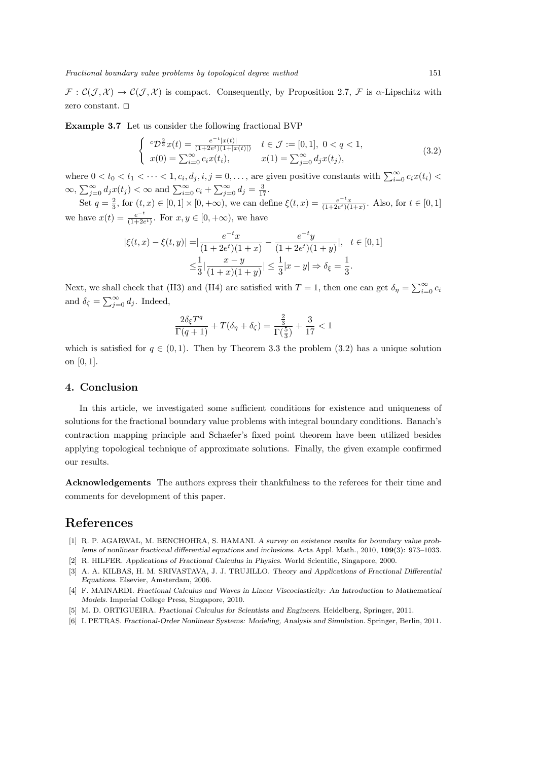$\mathcal{F}: \mathcal{C}(\mathcal{J}, \mathcal{X}) \to \mathcal{C}(\mathcal{J}, \mathcal{X})$  is compact. Consequently, by Proposition 2.7,  $\mathcal{F}$  is  $\alpha$ -Lipschitz with zero constant.  $\square$ 

**Example 3.7** Let us consider the following fractional BVP

$$
\begin{cases} {}^{c}\mathcal{D}^{\frac{2}{3}}x(t) = \frac{e^{-t}|x(t)|}{(1+2e^{t})(1+|x(t)|)} & t \in \mathcal{J} := [0,1], \ 0 < q < 1, \\ x(0) = \sum_{i=0}^{\infty} c_{i}x(t_{i}), & x(1) = \sum_{j=0}^{\infty} d_{j}x(t_{j}), \end{cases} \tag{3.2}
$$

where  $0 < t_0 < t_1 < \cdots < 1$ ,  $c_i, d_j, i, j = 0, \ldots$ , are given positive constants with  $\sum_{i=0}^{\infty} c_i x(t_i)$  $\infty$ ,  $\sum_{j=0}^{\infty} d_j x(t_j) < \infty$  and  $\sum_{i=0}^{\infty} c_i + \sum_{j=0}^{\infty} d_j = \frac{3}{17}$ .

Set  $q = \frac{2}{3}$ , for  $(t, x) \in [0, 1] \times [0, +\infty)$ , we can define  $\xi(t, x) = \frac{e^{-t}x}{(1 + 2e^{t})(1 + x)}$ . Also, for  $t \in [0, 1]$ we have  $x(t) = \frac{e^{-t}}{(1+2t)}$  $\frac{e^{-t}}{(1+2e^t)}$ . For  $x, y \in [0, +\infty)$ , we have

$$
|\xi(t,x) - \xi(t,y)| = \left| \frac{e^{-t}x}{(1+2e^t)(1+x)} - \frac{e^{-t}y}{(1+2e^t)(1+y)} \right|, \quad t \in [0,1]
$$
  

$$
\leq \frac{1}{3} \left| \frac{x-y}{(1+x)(1+y)} \right| \leq \frac{1}{3} |x-y| \Rightarrow \delta_{\xi} = \frac{1}{3}.
$$

Next, we shall check that (H3) and (H4) are satisfied with  $T = 1$ , then one can get  $\delta_{\eta} = \sum_{i=0}^{\infty} c_i$ and  $\delta_{\zeta} = \sum_{j=0}^{\infty} d_j$ . Indeed,

$$
\frac{2\delta_{\xi}T^q}{\Gamma(q+1)}+T(\delta_{\eta}+\delta_{\zeta})=\frac{\frac{2}{3}}{\Gamma(\frac{5}{3})}+\frac{3}{17}<1
$$

which is satisfied for  $q \in (0,1)$ . Then by Theorem 3.3 the problem (3.2) has a unique solution on [0*,* 1].

#### **4. Conclusion**

In this article, we investigated some sufficient conditions for existence and uniqueness of solutions for the fractional boundary value problems with integral boundary conditions. Banach's contraction mapping principle and Schaefer's fixed point theorem have been utilized besides applying topological technique of approximate solutions. Finally, the given example confirmed our results.

**Acknowledgements** The authors express their thankfulness to the referees for their time and comments for development of this paper.

## **References**

- [1] R. P. AGARWAL, M. BENCHOHRA, S. HAMANI. *A survey on existence results for boundary value problems of nonlinear fractional differential equations and inclusions*. Acta Appl. Math., 2010, **109**(3): 973–1033.
- [2] R. HILFER. *Applications of Fractional Calculus in Physics*. World Scientific, Singapore, 2000.
- [3] A. A. KILBAS, H. M. SRIVASTAVA, J. J. TRUJILLO. *Theory and Applications of Fractional Differential Equations*. Elsevier, Amsterdam, 2006.
- [4] F. MAINARDI. *Fractional Calculus and Waves in Linear Viscoelasticity: An Introduction to Mathematical Models*. Imperial College Press, Singapore, 2010.
- [5] M. D. ORTIGUEIRA. *Fractional Calculus for Scientists and Engineers*. Heidelberg, Springer, 2011.
- [6] I. PETRAS. *Fractional-Order Nonlinear Systems: Modeling, Analysis and Simulation*. Springer, Berlin, 2011.